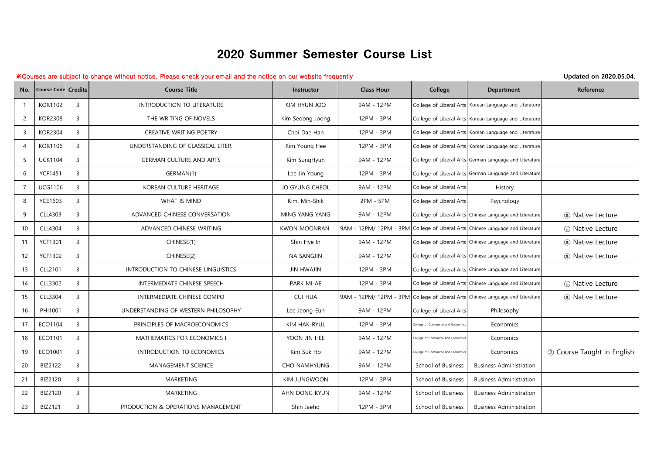## 2020 Summer Semester Course List

## ※Courses are subject to change without notice. Please check your email and the notice on our website frequently **Updated on 2020.05.04.**

| No.            | <b>Course Code Credits</b> |                | <b>Course Title</b>                 | Instructor          | <b>Class Hour</b> | College                           | <b>Department</b>                                                              | Reference                  |
|----------------|----------------------------|----------------|-------------------------------------|---------------------|-------------------|-----------------------------------|--------------------------------------------------------------------------------|----------------------------|
|                | <b>KOR1102</b>             | $\overline{3}$ | INTRODUCTION TO LITERATURE          | KIM HYUN JOO        | 9AM - 12PM        |                                   | College of Liberal Arts Korean Language and Literature                         |                            |
| $\overline{2}$ | <b>KOR2308</b>             | $\overline{3}$ | THE WRITING OF NOVELS               | Kim Seoong Joong    | 12PM - 3PM        |                                   | College of Liberal Arts Korean Language and Literature                         |                            |
| $\mathbf{3}$   | <b>KOR2304</b>             | $\overline{3}$ | CREATIVE WRITING POETRY             | Choi Dae Han        | 12PM - 3PM        |                                   | College of Liberal Arts Korean Language and Literature                         |                            |
| 4              | <b>KOR1106</b>             | $\overline{3}$ | UNDERSTANDING OF CLASSICAL LITER.   | Kim Young Hee       | 12PM - 3PM        |                                   | College of Liberal Arts Korean Language and Literature                         |                            |
| 5              | <b>UCK1104</b>             | $\overline{3}$ | <b>GERMAN CULTURE AND ARTS</b>      | Kim SungHyun        | 9AM - 12PM        |                                   | College of Liberal Arts German Language and Literature                         |                            |
| 6              | <b>YCF1451</b>             | $\overline{3}$ | GERMAN(1)                           | Lee Jin Young       | 12PM - 3PM        |                                   | College of Liberal Arts German Language and Literature                         |                            |
| $\overline{7}$ | <b>UCG1106</b>             | $\overline{3}$ | KOREAN CULTURE HERITAGE             | JO GYUNG CHEOL      | 9AM - 12PM        | College of Liberal Arts           | History                                                                        |                            |
| 8              | <b>YCE1603</b>             | $\overline{3}$ | <b>WHAT IS MIND</b>                 | Kim, Min-Shik       | 2PM - 5PM         | College of Liberal Arts           | Psychology                                                                     |                            |
| 9              | CLL4303                    | $\overline{3}$ | ADVANCED CHINESE CONVERSATION       | MING YANG YANG      | 9AM - 12PM        |                                   | College of Liberal Arts Chinese Language and Literature                        | (a) Native Lecture         |
| 10             | CLL4304                    | $\overline{3}$ | ADVANCED CHINESE WRITING            | <b>KWON MOONRAN</b> |                   |                                   | 9AM - 12PM/ 12PM - 3PM College of Liberal Arts Chinese Language and Literature | (a) Native Lecture         |
| 11             | <b>YCF1301</b>             | $\overline{3}$ | CHINESE(1)                          | Shin Hye In         | 9AM - 12PM        |                                   | College of Liberal Arts Chinese Language and Literature                        | (a) Native Lecture         |
| 12             | <b>YCF1302</b>             | $\overline{3}$ | CHINESE(2)                          | NA SANGJIN          | 9AM - 12PM        |                                   | College of Liberal Arts Chinese Language and Literature                        | (a) Native Lecture         |
| 13             | CLL2101                    | $\overline{3}$ | INTRODUCTION TO CHINESE LINGUISTICS | <b>JIN HWAJIN</b>   | 12PM - 3PM        |                                   | College of Liberal Arts Chinese Language and Literature                        |                            |
| 14             | CLL3302                    | $\overline{3}$ | INTERMEDIATE CHINESE SPEECH         | PARK MI-AE          | 12PM - 3PM        |                                   | College of Liberal Arts Chinese Language and Literature                        | (a) Native Lecture         |
| 15             | CLL3304                    | $\overline{3}$ | INTERMEDIATE CHINESE COMPO          | <b>CUI HUA</b>      |                   |                                   | 9AM - 12PM/ 12PM - 3PM College of Liberal Arts Chinese Language and Literature | (a) Native Lecture         |
| 16             | PHI1001                    | $\overline{3}$ | UNDERSTANDING OF WESTERN PHILOSOPHY | Lee Jeong-Eun       | 9AM - 12PM        | College of Liberal Arts           | Philosophy                                                                     |                            |
| 17             | ECO1104                    | $\overline{3}$ | PRINCIPLES OF MACROECONOMICS        | KIM HAK-RYUL        | 12PM - 3PM        | College of Commerce and Economic  | Economics                                                                      |                            |
| 18             | ECO1101                    | $\overline{3}$ | MATHEMATICS FOR ECONOMICS I         | YOON JIN HEE        | 9AM - 12PM        | College of Commerce and Economic  | Economics                                                                      |                            |
| 19             | ECO1001                    | $\overline{3}$ | INTRODUCTION TO ECONOMICS           | Kim Suk Ho          | 9AM - 12PM        | College of Commerce and Economics | Economics                                                                      | 2 Course Taught in English |
| 20             | <b>BIZ2122</b>             | $\overline{3}$ | MANAGEMENT SCIENCE                  | <b>CHO NAMHYUNG</b> | 9AM - 12PM        | School of Business                | <b>Business Administration</b>                                                 |                            |
| 21             | <b>BIZ2120</b>             | $\overline{3}$ | MARKETING                           | KIM JUNGWOON        | 12PM - 3PM        | School of Business                | <b>Business Administration</b>                                                 |                            |
| 22             | <b>BIZ2120</b>             | $\overline{3}$ | <b>MARKETING</b>                    | AHN DONG KYUN       | 9AM - 12PM        | School of Business                | <b>Business Administration</b>                                                 |                            |
| 23             | <b>BIZ2121</b>             | $\overline{3}$ | PRODUCTION & OPERATIONS MANAGEMENT  | Shin Jaeho          | 12PM - 3PM        | School of Business                | <b>Business Administration</b>                                                 |                            |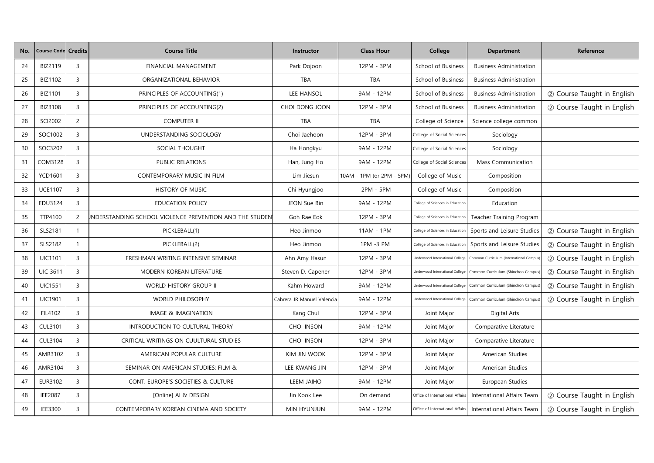| No. | <b>Course Code Credits</b> |                | <b>Course Title</b>                                    | <b>Instructor</b>          | <b>Class Hour</b>         | College                          | <b>Department</b>                        | Reference                  |
|-----|----------------------------|----------------|--------------------------------------------------------|----------------------------|---------------------------|----------------------------------|------------------------------------------|----------------------------|
| 24  | BIZ2119                    | 3              | FINANCIAL MANAGEMENT                                   | Park Dojoon                | 12PM - 3PM                | School of Business               | <b>Business Administration</b>           |                            |
| 25  | BIZ1102                    | 3              | ORGANIZATIONAL BEHAVIOR                                | TBA                        | TBA                       | School of Business               | <b>Business Administration</b>           |                            |
| 26  | <b>BIZ1101</b>             | 3              | PRINCIPLES OF ACCOUNTING(1)                            | LEE HANSOL                 | 9AM - 12PM                | School of Business               | <b>Business Administration</b>           | 2 Course Taught in English |
| 27  | <b>BIZ3108</b>             | 3              | PRINCIPLES OF ACCOUNTING(2)                            | CHOI DONG JOON             | 12PM - 3PM                | School of Business               | <b>Business Administration</b>           | 2 Course Taught in English |
| 28  | SCI2002                    | $\overline{c}$ | <b>COMPUTER II</b>                                     | <b>TBA</b>                 | <b>TBA</b>                | College of Science               | Science college common                   |                            |
| 29  | SOC1002                    | $\overline{3}$ | UNDERSTANDING SOCIOLOGY                                | Choi Jaehoon               | 12PM - 3PM                | College of Social Sciences       | Sociology                                |                            |
| 30  | SOC3202                    | 3              | SOCIAL THOUGHT                                         | Ha Hongkyu                 | 9AM - 12PM                | College of Social Sciences       | Sociology                                |                            |
| 31  | COM3128                    | $\overline{3}$ | PUBLIC RELATIONS                                       | Han, Jung Ho               | 9AM - 12PM                | College of Social Sciences       | Mass Communication                       |                            |
| 32  | <b>YCD1601</b>             | 3              | CONTEMPORARY MUSIC IN FILM                             | Lim Jiesun                 | 10AM - 1PM (or 2PM - 5PM) | College of Music                 | Composition                              |                            |
| 33  | <b>UCE1107</b>             | $\overline{3}$ | HISTORY OF MUSIC                                       | Chi Hyungjoo               | 2PM - 5PM                 | College of Music                 | Composition                              |                            |
| 34  | EDU3124                    | 3              | <b>EDUCATION POLICY</b>                                | JEON Sue Bin               | 9AM - 12PM                | College of Sciences in Education | Education                                |                            |
| 35  | TTP4100                    | $\overline{c}$ | NDERSTANDING SCHOOL VIOLENCE PREVENTION AND THE STUDEN | Goh Rae Eok                | 12PM - 3PM                | College of Sciences in Education | Teacher Training Program                 |                            |
| 36  | SLS2181                    |                | PICKLEBALL(1)                                          | Heo Jinmoo                 | 11AM - 1PM                | College of Sciences in Education | Sports and Leisure Studies               | 2 Course Taught in English |
| 37  | SLS2182                    | $\mathbf{1}$   | PICKLEBALL(2)                                          | Heo Jinmoo                 | 1PM -3 PM                 | College of Sciences in Education | Sports and Leisure Studies               | 2 Course Taught in English |
| 38  | <b>UIC1101</b>             | 3              | FRESHMAN WRITING INTENSIVE SEMINAR                     | Ahn Amy Hasun              | 12PM - 3PM                | Underwood International College  | Common Curriculum (International Campus) | 2 Course Taught in English |
| 39  | <b>UIC 3611</b>            | 3              | MODERN KOREAN LITERATURE                               | Steven D. Capener          | 12PM - 3PM                | Underwood International College  | Common Curriculum (Shinchon Campus)      | 2 Course Taught in English |
| 40  | <b>UIC1551</b>             | 3              | <b>WORLD HISTORY GROUP II</b>                          | Kahm Howard                | 9AM - 12PM                | Underwood International College  | Common Curriculum (Shinchon Campus)      | 2 Course Taught in English |
| 41  | <b>UIC1901</b>             | $\overline{3}$ | <b>WORLD PHILOSOPHY</b>                                | Cabrera JR Manuel Valencia | 9AM - 12PM                | Underwood International College  | Common Curriculum (Shinchon Campus)      | 2 Course Taught in English |
| 42  | FIL4102                    | 3              | <b>IMAGE &amp; IMAGINATION</b>                         | Kang Chul                  | 12PM - 3PM                | Joint Major                      | Digital Arts                             |                            |
| 43  | <b>CUL3101</b>             | $\overline{3}$ | INTRODUCTION TO CULTURAL THEORY                        | <b>CHOI INSON</b>          | 9AM - 12PM                | Joint Major                      | Comparative Literature                   |                            |
| 44  | <b>CUL3104</b>             | $\overline{3}$ | CRITICAL WRITINGS ON CUULTURAL STUDIES                 | <b>CHOI INSON</b>          | 12PM - 3PM                | Joint Major                      | Comparative Literature                   |                            |
| 45  | AMR3102                    | $\overline{3}$ | AMERICAN POPULAR CULTURE                               | KIM JIN WOOK               | 12PM - 3PM                | Joint Major                      | American Studies                         |                            |
| 46  | AMR3104                    | 3              | SEMINAR ON AMERICAN STUDIES: FILM &                    | LEE KWANG JIN              | 12PM - 3PM                | Joint Major                      | American Studies                         |                            |
| 47  | EUR3102                    | $\mathbf{3}$   | CONT. EUROPE'S SOCIETIES & CULTURE                     | LEEM JAIHO                 | 9AM - 12PM                | Joint Major                      | European Studies                         |                            |
| 48  | <b>IEE2087</b>             | 3              | [Online] AI & DESIGN                                   | Jin Kook Lee               | On demand                 | Office of International Affairs  | International Affairs Team               | 2 Course Taught in English |
| 49  | <b>IEE3300</b>             | $\mathsf{3}$   | CONTEMPORARY KOREAN CINEMA AND SOCIETY                 | MIN HYUNJUN                | 9AM - 12PM                | Office of International Affairs  | International Affairs Team               | 2 Course Taught in English |